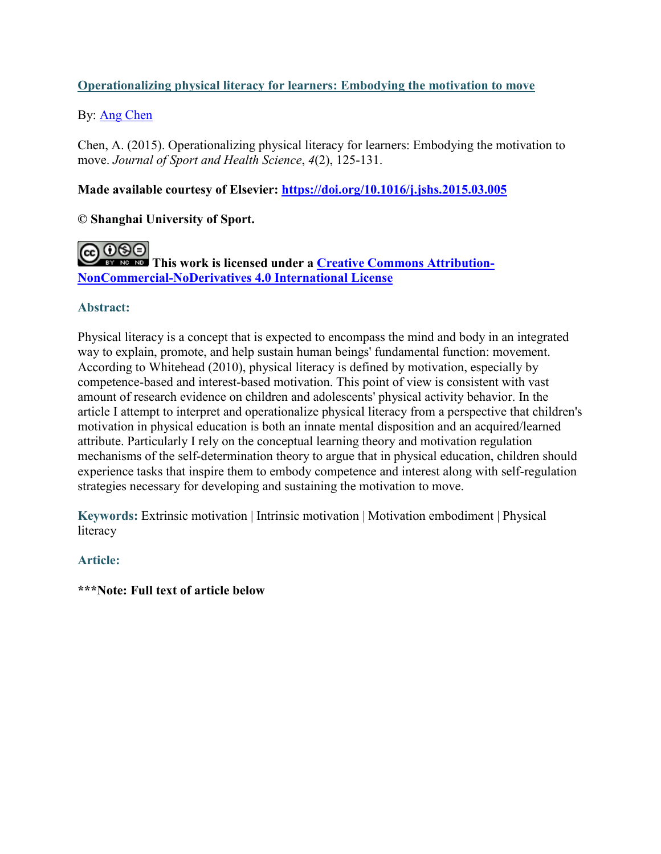# **Operationalizing physical literacy for learners: Embodying the motivation to move**

# By: [Ang Chen](https://libres.uncg.edu/ir/uncg/clist.aspx?id=3437)

Chen, A. (2015). Operationalizing physical literacy for learners: Embodying the motivation to move. *Journal of Sport and Health Science*, *4*(2), 125-131.

# **Made available courtesy of Elsevier:<https://doi.org/10.1016/j.jshs.2015.03.005>**

# **© Shanghai University of Sport.**

# **@** 0®©|

**EY NG ND** This work is licensed under a **Creative Commons Attribution**-**[NonCommercial-NoDerivatives](http://creativecommons.org/licenses/by-nc-nd/4.0/) 4.0 International License**

## **Abstract:**

Physical literacy is a concept that is expected to encompass the mind and body in an integrated way to explain, promote, and help sustain human beings' fundamental function: movement. According to Whitehead (2010), physical literacy is defined by motivation, especially by competence-based and interest-based motivation. This point of view is consistent with vast amount of research evidence on children and adolescents' physical activity behavior. In the article I attempt to interpret and operationalize physical literacy from a perspective that children's motivation in physical education is both an innate mental disposition and an acquired/learned attribute. Particularly I rely on the conceptual learning theory and motivation regulation mechanisms of the self-determination theory to argue that in physical education, children should experience tasks that inspire them to embody competence and interest along with self-regulation strategies necessary for developing and sustaining the motivation to move.

**Keywords:** Extrinsic motivation | Intrinsic motivation | Motivation embodiment | Physical literacy

# **Article:**

**\*\*\*Note: Full text of article below**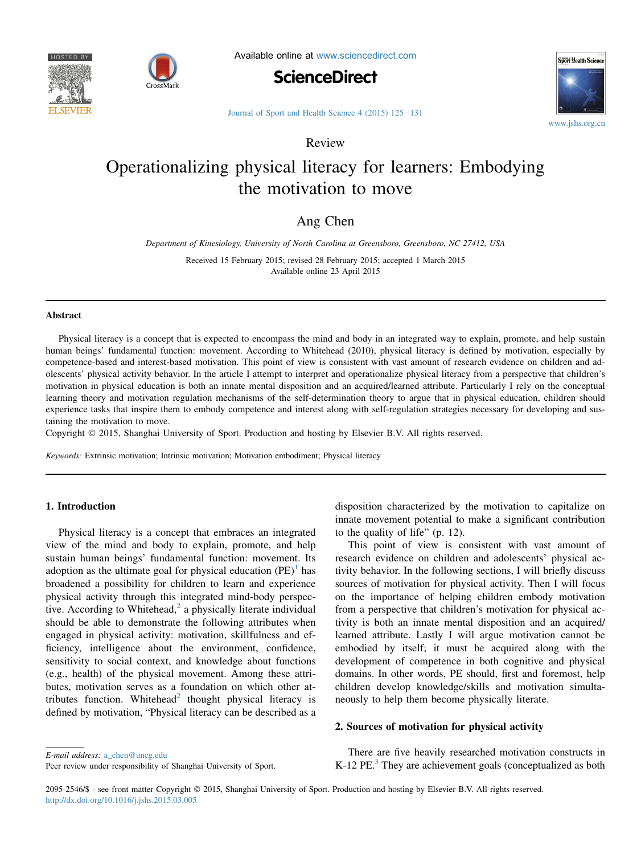



HOSTED BY Available online at [www.sciencedirect.com](www.sciencedirect.com/science/journal/20952546)





[Journal of Sport and Health Science 4 \(2015\) 125](http://dx.doi.org/10.1016/j.jshs.2015.03.005)-[131](http://dx.doi.org/10.1016/j.jshs.2015.03.005)

Review

# Operationalizing physical literacy for learners: Embodying the motivation to move

### Ang Chen

Department of Kinesiology, University of North Carolina at Greensboro, Greensboro, NC 27412, USA

Received 15 February 2015; revised 28 February 2015; accepted 1 March 2015 Available online 23 April 2015

#### Abstract

Physical literacy is a concept that is expected to encompass the mind and body in an integrated way to explain, promote, and help sustain human beings' fundamental function: movement. According to Whitehead (2010), physical literacy is defined by motivation, especially by competence-based and interest-based motivation. This point of view is consistent with vast amount of research evidence on children and adolescents' physical activity behavior. In the article I attempt to interpret and operationalize physical literacy from a perspective that children's motivation in physical education is both an innate mental disposition and an acquired/learned attribute. Particularly I rely on the conceptual learning theory and motivation regulation mechanisms of the self-determination theory to argue that in physical education, children should experience tasks that inspire them to embody competence and interest along with self-regulation strategies necessary for developing and sustaining the motivation to move.

Copyright 2015, Shanghai University of Sport. Production and hosting by Elsevier B.V. All rights reserved.

Keywords: Extrinsic motivation; Intrinsic motivation; Motivation embodiment; Physical literacy

### 1. Introduction

Physical literacy is a concept that embraces an integrated view of the mind and body to explain, promote, and help sustain human beings' fundamental function: movement. Its adoption as the ultimate goal for physical education  $(PE)^1$  $(PE)^1$  has broadened a possibility for children to learn and experience physical activity through this integrated mind-body perspective. According to Whitehead, $2$  a physically literate individual should be able to demonstrate the following attributes when engaged in physical activity: motivation, skillfulness and efficiency, intelligence about the environment, confidence, sensitivity to social context, and knowledge about functions (e.g., health) of the physical movement. Among these attributes, motivation serves as a foundation on which other at-tributes function. Whitehead<sup>[2](#page-6-0)</sup> thought physical literacy is defined by motivation, "Physical literacy can be described as a disposition characterized by the motivation to capitalize on innate movement potential to make a significant contribution to the quality of life" (p. 12).

This point of view is consistent with vast amount of research evidence on children and adolescents' physical activity behavior. In the following sections, I will briefly discuss sources of motivation for physical activity. Then I will focus on the importance of helping children embody motivation from a perspective that children's motivation for physical activity is both an innate mental disposition and an acquired/ learned attribute. Lastly I will argue motivation cannot be embodied by itself; it must be acquired along with the development of competence in both cognitive and physical domains. In other words, PE should, first and foremost, help children develop knowledge/skills and motivation simultaneously to help them become physically literate.

#### 2. Sources of motivation for physical activity

E-mail address: a\_chen@uncg.edu

There are five heavily researched motivation constructs in  $K-12$  PE.<sup>3</sup> They are achievement goals (conceptualized as both

Peer review under responsibility of Shanghai University of Sport.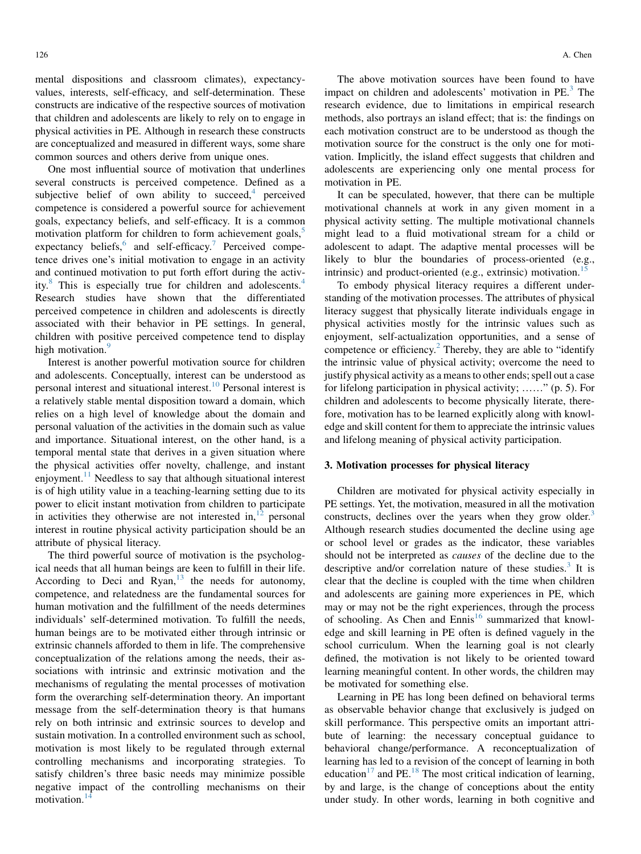mental dispositions and classroom climates), expectancyvalues, interests, self-efficacy, and self-determination. These constructs are indicative of the respective sources of motivation that children and adolescents are likely to rely on to engage in physical activities in PE. Although in research these constructs are conceptualized and measured in different ways, some share common sources and others derive from unique ones.

One most influential source of motivation that underlines several constructs is perceived competence. Defined as a subjective belief of own ability to succeed, $4$  perceived competence is considered a powerful source for achievement goals, expectancy beliefs, and self-efficacy. It is a common motivation platform for children to form achievement goals,<sup>[5](#page-6-0)</sup> expectancy beliefs, $6 \text{ and self-efficacy}$  $6 \text{ and self-efficacy}$ ? Perceived competence drives one's initial motivation to engage in an activity and continued motivation to put forth effort during the activity.[8](#page-7-0) This is especially true for children and adolescents.[4](#page-6-0) Research studies have shown that the differentiated perceived competence in children and adolescents is directly associated with their behavior in PE settings. In general, children with positive perceived competence tend to display high motivation.<sup>[9](#page-7-0)</sup>

Interest is another powerful motivation source for children and adolescents. Conceptually, interest can be understood as personal interest and situational interest.[10](#page-7-0) Personal interest is a relatively stable mental disposition toward a domain, which relies on a high level of knowledge about the domain and personal valuation of the activities in the domain such as value and importance. Situational interest, on the other hand, is a temporal mental state that derives in a given situation where the physical activities offer novelty, challenge, and instant enjoyment.<sup>11</sup> Needless to say that although situational interest is of high utility value in a teaching-learning setting due to its power to elicit instant motivation from children to participate in activities they otherwise are not interested in, $^{12}$  $^{12}$  $^{12}$  personal interest in routine physical activity participation should be an attribute of physical literacy.

The third powerful source of motivation is the psychological needs that all human beings are keen to fulfill in their life. According to Deci and  $Ryan$ ,<sup>[13](#page-7-0)</sup> the needs for autonomy, competence, and relatedness are the fundamental sources for human motivation and the fulfillment of the needs determines individuals' self-determined motivation. To fulfill the needs, human beings are to be motivated either through intrinsic or extrinsic channels afforded to them in life. The comprehensive conceptualization of the relations among the needs, their associations with intrinsic and extrinsic motivation and the mechanisms of regulating the mental processes of motivation form the overarching self-determination theory. An important message from the self-determination theory is that humans rely on both intrinsic and extrinsic sources to develop and sustain motivation. In a controlled environment such as school, motivation is most likely to be regulated through external controlling mechanisms and incorporating strategies. To satisfy children's three basic needs may minimize possible negative impact of the controlling mechanisms on their motivation.<sup>[14](#page-7-0)</sup>

The above motivation sources have been found to have impact on children and adolescents' motivation in  $PE<sup>3</sup>$  $PE<sup>3</sup>$  $PE<sup>3</sup>$ . The research evidence, due to limitations in empirical research methods, also portrays an island effect; that is: the findings on each motivation construct are to be understood as though the motivation source for the construct is the only one for motivation. Implicitly, the island effect suggests that children and adolescents are experiencing only one mental process for motivation in PE.

It can be speculated, however, that there can be multiple motivational channels at work in any given moment in a physical activity setting. The multiple motivational channels might lead to a fluid motivational stream for a child or adolescent to adapt. The adaptive mental processes will be likely to blur the boundaries of process-oriented (e.g., intrinsic) and product-oriented (e.g., extrinsic) motivation.<sup>1</sup>

To embody physical literacy requires a different understanding of the motivation processes. The attributes of physical literacy suggest that physically literate individuals engage in physical activities mostly for the intrinsic values such as enjoyment, self-actualization opportunities, and a sense of competence or efficiency.<sup>[2](#page-6-0)</sup> Thereby, they are able to "identify" the intrinsic value of physical activity; overcome the need to justify physical activity as a means to other ends; spell out a case for lifelong participation in physical activity; ......" (p. 5). For children and adolescents to become physically literate, therefore, motivation has to be learned explicitly along with knowledge and skill content for them to appreciate the intrinsic values and lifelong meaning of physical activity participation.

### 3. Motivation processes for physical literacy

Children are motivated for physical activity especially in PE settings. Yet, the motivation, measured in all the motivation constructs, declines over the years when they grow older.<sup>[3](#page-6-0)</sup> Although research studies documented the decline using age or school level or grades as the indicator, these variables should not be interpreted as causes of the decline due to the descriptive and/or correlation nature of these studies. $3$  It is clear that the decline is coupled with the time when children and adolescents are gaining more experiences in PE, which may or may not be the right experiences, through the process of schooling. As Chen and Ennis<sup>[16](#page-7-0)</sup> summarized that knowledge and skill learning in PE often is defined vaguely in the school curriculum. When the learning goal is not clearly defined, the motivation is not likely to be oriented toward learning meaningful content. In other words, the children may be motivated for something else.

Learning in PE has long been defined on behavioral terms as observable behavior change that exclusively is judged on skill performance. This perspective omits an important attribute of learning: the necessary conceptual guidance to behavioral change/performance. A reconceptualization of learning has led to a revision of the concept of learning in both education<sup>[17](#page-7-0)</sup> and PE.<sup>[18](#page-7-0)</sup> The most critical indication of learning, by and large, is the change of conceptions about the entity under study. In other words, learning in both cognitive and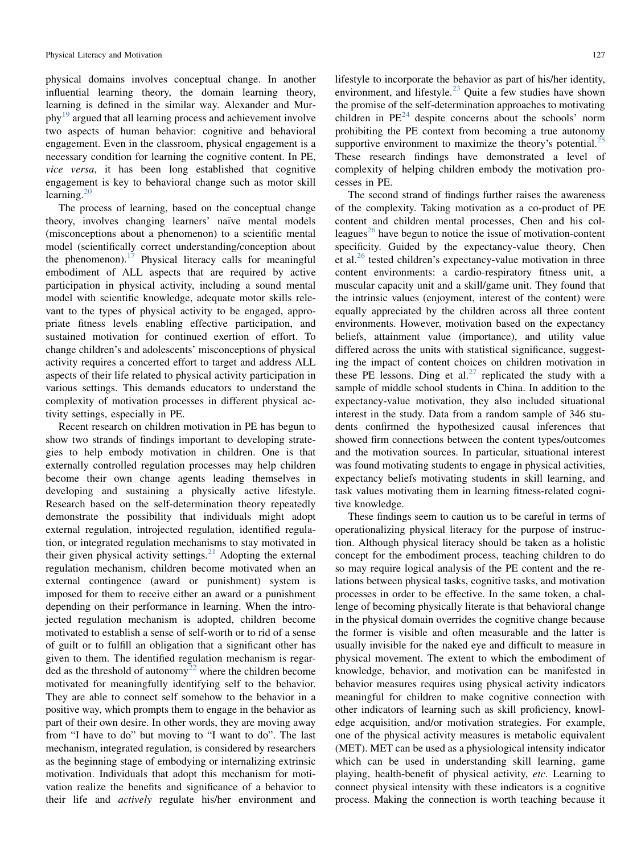physical domains involves conceptual change. In another influential learning theory, the domain learning theory, learning is defined in the similar way. Alexander and Mur-phy<sup>[19](#page-7-0)</sup> argued that all learning process and achievement involve two aspects of human behavior: cognitive and behavioral engagement. Even in the classroom, physical engagement is a necessary condition for learning the cognitive content. In PE, vice versa, it has been long established that cognitive engagement is key to behavioral change such as motor skill learning. $20$ 

The process of learning, based on the conceptual change theory, involves changing learners' naïve mental models (misconceptions about a phenomenon) to a scientific mental model (scientifically correct understanding/conception about the phenomenon).<sup>[17](#page-7-0)</sup> Physical literacy calls for meaningful embodiment of ALL aspects that are required by active participation in physical activity, including a sound mental model with scientific knowledge, adequate motor skills relevant to the types of physical activity to be engaged, appropriate fitness levels enabling effective participation, and sustained motivation for continued exertion of effort. To change children's and adolescents' misconceptions of physical activity requires a concerted effort to target and address ALL aspects of their life related to physical activity participation in various settings. This demands educators to understand the complexity of motivation processes in different physical activity settings, especially in PE.

Recent research on children motivation in PE has begun to show two strands of findings important to developing strategies to help embody motivation in children. One is that externally controlled regulation processes may help children become their own change agents leading themselves in developing and sustaining a physically active lifestyle. Research based on the self-determination theory repeatedly demonstrate the possibility that individuals might adopt external regulation, introjected regulation, identified regulation, or integrated regulation mechanisms to stay motivated in their given physical activity settings. $^{21}$  $^{21}$  $^{21}$  Adopting the external regulation mechanism, children become motivated when an external contingence (award or punishment) system is imposed for them to receive either an award or a punishment depending on their performance in learning. When the introjected regulation mechanism is adopted, children become motivated to establish a sense of self-worth or to rid of a sense of guilt or to fulfill an obligation that a significant other has given to them. The identified regulation mechanism is regar-ded as the threshold of autonomy<sup>[22](#page-7-0)</sup> where the children become motivated for meaningfully identifying self to the behavior. They are able to connect self somehow to the behavior in a positive way, which prompts them to engage in the behavior as part of their own desire. In other words, they are moving away from "I have to do" but moving to "I want to do". The last mechanism, integrated regulation, is considered by researchers as the beginning stage of embodying or internalizing extrinsic motivation. Individuals that adopt this mechanism for motivation realize the benefits and significance of a behavior to their life and actively regulate his/her environment and lifestyle to incorporate the behavior as part of his/her identity, environment, and lifestyle.<sup>[23](#page-7-0)</sup> Quite a few studies have shown the promise of the self-determination approaches to motivating children in  $PE<sup>24</sup>$  $PE<sup>24</sup>$  $PE<sup>24</sup>$  despite concerns about the schools' norm prohibiting the PE context from becoming a true autonomy supportive environment to maximize the theory's potential. $25$ These research findings have demonstrated a level of complexity of helping children embody the motivation processes in PE.

The second strand of findings further raises the awareness of the complexity. Taking motivation as a co-product of PE content and children mental processes, Chen and his col-leagues<sup>[26](#page-7-0)</sup> have begun to notice the issue of motivation-content specificity. Guided by the expectancy-value theory, Chen et al. $26$  tested children's expectancy-value motivation in three content environments: a cardio-respiratory fitness unit, a muscular capacity unit and a skill/game unit. They found that the intrinsic values (enjoyment, interest of the content) were equally appreciated by the children across all three content environments. However, motivation based on the expectancy beliefs, attainment value (importance), and utility value differed across the units with statistical significance, suggesting the impact of content choices on children motivation in these PE lessons. Ding et al.<sup>[27](#page-7-0)</sup> replicated the study with a sample of middle school students in China. In addition to the expectancy-value motivation, they also included situational interest in the study. Data from a random sample of 346 students confirmed the hypothesized causal inferences that showed firm connections between the content types/outcomes and the motivation sources. In particular, situational interest was found motivating students to engage in physical activities, expectancy beliefs motivating students in skill learning, and task values motivating them in learning fitness-related cognitive knowledge.

These findings seem to caution us to be careful in terms of operationalizing physical literacy for the purpose of instruction. Although physical literacy should be taken as a holistic concept for the embodiment process, teaching children to do so may require logical analysis of the PE content and the relations between physical tasks, cognitive tasks, and motivation processes in order to be effective. In the same token, a challenge of becoming physically literate is that behavioral change in the physical domain overrides the cognitive change because the former is visible and often measurable and the latter is usually invisible for the naked eye and difficult to measure in physical movement. The extent to which the embodiment of knowledge, behavior, and motivation can be manifested in behavior measures requires using physical activity indicators meaningful for children to make cognitive connection with other indicators of learning such as skill proficiency, knowledge acquisition, and/or motivation strategies. For example, one of the physical activity measures is metabolic equivalent (MET). MET can be used as a physiological intensity indicator which can be used in understanding skill learning, game playing, health-benefit of physical activity, etc. Learning to connect physical intensity with these indicators is a cognitive process. Making the connection is worth teaching because it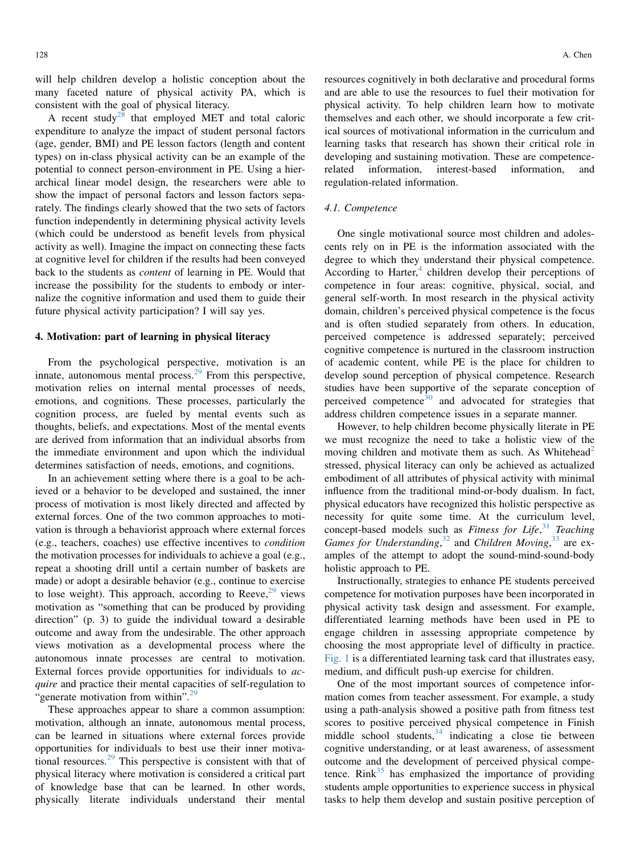will help children develop a holistic conception about the many faceted nature of physical activity PA, which is consistent with the goal of physical literacy.

A recent study<sup>[28](#page-7-0)</sup> that employed MET and total caloric expenditure to analyze the impact of student personal factors (age, gender, BMI) and PE lesson factors (length and content types) on in-class physical activity can be an example of the potential to connect person-environment in PE. Using a hierarchical linear model design, the researchers were able to show the impact of personal factors and lesson factors separately. The findings clearly showed that the two sets of factors function independently in determining physical activity levels (which could be understood as benefit levels from physical activity as well). Imagine the impact on connecting these facts at cognitive level for children if the results had been conveyed back to the students as content of learning in PE. Would that increase the possibility for the students to embody or internalize the cognitive information and used them to guide their future physical activity participation? I will say yes.

### 4. Motivation: part of learning in physical literacy

From the psychological perspective, motivation is an innate, autonomous mental process.<sup>[29](#page-7-0)</sup> From this perspective, motivation relies on internal mental processes of needs, emotions, and cognitions. These processes, particularly the cognition process, are fueled by mental events such as thoughts, beliefs, and expectations. Most of the mental events are derived from information that an individual absorbs from the immediate environment and upon which the individual determines satisfaction of needs, emotions, and cognitions.

In an achievement setting where there is a goal to be achieved or a behavior to be developed and sustained, the inner process of motivation is most likely directed and affected by external forces. One of the two common approaches to motivation is through a behaviorist approach where external forces (e.g., teachers, coaches) use effective incentives to condition the motivation processes for individuals to achieve a goal (e.g., repeat a shooting drill until a certain number of baskets are made) or adopt a desirable behavior (e.g., continue to exercise to lose weight). This approach, according to Reeve, $29$  views motivation as "something that can be produced by providing direction" (p. 3) to guide the individual toward a desirable outcome and away from the undesirable. The other approach views motivation as a developmental process where the autonomous innate processes are central to motivation. External forces provide opportunities for individuals to acquire and practice their mental capacities of self-regulation to "generate motivation from within".<sup>[29](#page-7-0)</sup>

These approaches appear to share a common assumption: motivation, although an innate, autonomous mental process, can be learned in situations where external forces provide opportunities for individuals to best use their inner motivational resources.[29](#page-7-0) This perspective is consistent with that of physical literacy where motivation is considered a critical part of knowledge base that can be learned. In other words, physically literate individuals understand their mental

resources cognitively in both declarative and procedural forms and are able to use the resources to fuel their motivation for physical activity. To help children learn how to motivate themselves and each other, we should incorporate a few critical sources of motivational information in the curriculum and learning tasks that research has shown their critical role in developing and sustaining motivation. These are competencerelated information, interest-based information, and regulation-related information.

#### 4.1. Competence

One single motivational source most children and adolescents rely on in PE is the information associated with the degree to which they understand their physical competence. According to Harter, $4$  children develop their perceptions of competence in four areas: cognitive, physical, social, and general self-worth. In most research in the physical activity domain, children's perceived physical competence is the focus and is often studied separately from others. In education, perceived competence is addressed separately; perceived cognitive competence is nurtured in the classroom instruction of academic content, while PE is the place for children to develop sound perception of physical competence. Research studies have been supportive of the separate conception of perceived competence<sup>[30](#page-7-0)</sup> and advocated for strategies that address children competence issues in a separate manner.

However, to help children become physically literate in PE we must recognize the need to take a holistic view of the moving children and motivate them as such. As Whitehead<sup>[2](#page-6-0)</sup> stressed, physical literacy can only be achieved as actualized embodiment of all attributes of physical activity with minimal influence from the traditional mind-or-body dualism. In fact, physical educators have recognized this holistic perspective as necessity for quite some time. At the curriculum level, concept-based models such as Fitness for Life,  $31$  Teaching Games for Understanding,<sup>[32](#page-7-0)</sup> and Children Moving,<sup>[33](#page-7-0)</sup> are examples of the attempt to adopt the sound-mind-sound-body holistic approach to PE.

Instructionally, strategies to enhance PE students perceived competence for motivation purposes have been incorporated in physical activity task design and assessment. For example, differentiated learning methods have been used in PE to engage children in assessing appropriate competence by choosing the most appropriate level of difficulty in practice. [Fig. 1](#page-5-0) is a differentiated learning task card that illustrates easy, medium, and difficult push-up exercise for children.

One of the most important sources of competence information comes from teacher assessment. For example, a study using a path-analysis showed a positive path from fitness test scores to positive perceived physical competence in Finish middle school students,  $34$  indicating a close tie between cognitive understanding, or at least awareness, of assessment outcome and the development of perceived physical competence.  $Rink<sup>35</sup>$  $Rink<sup>35</sup>$  $Rink<sup>35</sup>$  has emphasized the importance of providing students ample opportunities to experience success in physical tasks to help them develop and sustain positive perception of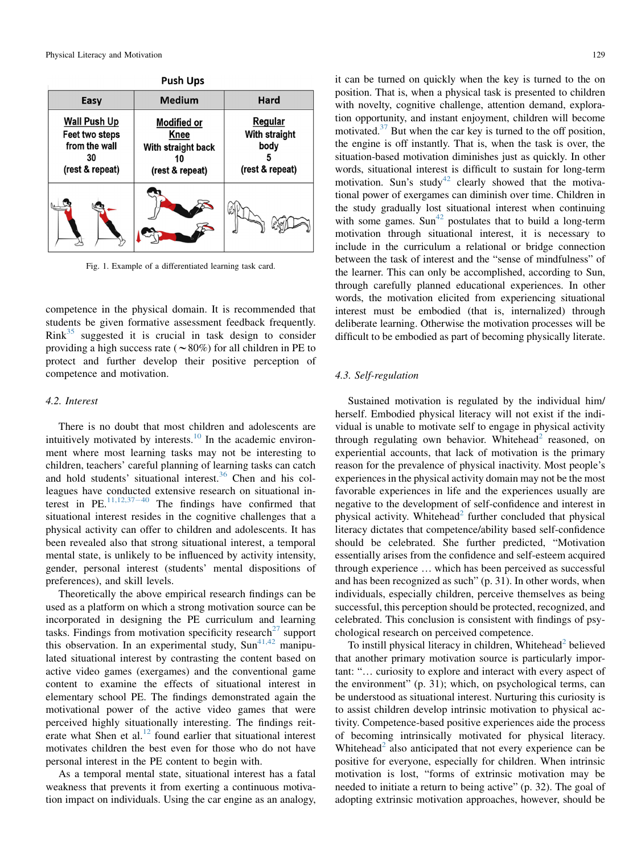<span id="page-5-0"></span>

| <b>Push Ups</b>                                                                 |                                                                     |                                                     |
|---------------------------------------------------------------------------------|---------------------------------------------------------------------|-----------------------------------------------------|
| Easy                                                                            | <b>Medium</b>                                                       | Hard                                                |
| <b>Wall Push Up</b><br>Feet two steps<br>from the wall<br>30<br>(rest & repeat) | <b>Modified or</b><br>Knee<br>With straight back<br>(rest & repeat) | Regular<br>With straight<br>body<br>(rest & repeat) |
|                                                                                 |                                                                     |                                                     |

Fig. 1. Example of a differentiated learning task card.

competence in the physical domain. It is recommended that students be given formative assessment feedback frequently.  $Rink<sup>35</sup>$  $Rink<sup>35</sup>$  $Rink<sup>35</sup>$  suggested it is crucial in task design to consider providing a high success rate ( $\sim$ 80%) for all children in PE to protect and further develop their positive perception of competence and motivation.

### 4.2. Interest

There is no doubt that most children and adolescents are intuitively motivated by interests.<sup>[10](#page-7-0)</sup> In the academic environment where most learning tasks may not be interesting to children, teachers' careful planning of learning tasks can catch and hold students' situational interest.<sup>[36](#page-7-0)</sup> Chen and his colleagues have conducted extensive research on situational interest in PE. $^{11,12,37-40}$  $^{11,12,37-40}$  $^{11,12,37-40}$  $^{11,12,37-40}$  $^{11,12,37-40}$  The findings have confirmed that situational interest resides in the cognitive challenges that a physical activity can offer to children and adolescents. It has been revealed also that strong situational interest, a temporal mental state, is unlikely to be influenced by activity intensity, gender, personal interest (students' mental dispositions of preferences), and skill levels.

Theoretically the above empirical research findings can be used as a platform on which a strong motivation source can be incorporated in designing the PE curriculum and learning tasks. Findings from motivation specificity research<sup>[27](#page-7-0)</sup> support this observation. In an experimental study,  $Sun<sup>41,42</sup>$  $Sun<sup>41,42</sup>$  $Sun<sup>41,42</sup>$  manipulated situational interest by contrasting the content based on active video games (exergames) and the conventional game content to examine the effects of situational interest in elementary school PE. The findings demonstrated again the motivational power of the active video games that were perceived highly situationally interesting. The findings reiterate what Shen et al. $^{12}$  $^{12}$  $^{12}$  found earlier that situational interest motivates children the best even for those who do not have personal interest in the PE content to begin with.

As a temporal mental state, situational interest has a fatal weakness that prevents it from exerting a continuous motivation impact on individuals. Using the car engine as an analogy, it can be turned on quickly when the key is turned to the on position. That is, when a physical task is presented to children with novelty, cognitive challenge, attention demand, exploration opportunity, and instant enjoyment, children will become motivated. $37$  But when the car key is turned to the off position, the engine is off instantly. That is, when the task is over, the situation-based motivation diminishes just as quickly. In other words, situational interest is difficult to sustain for long-term motivation. Sun's study<sup>42</sup> clearly showed that the motivational power of exergames can diminish over time. Children in the study gradually lost situational interest when continuing with some games.  $\text{Sun}^{42}$  postulates that to build a long-term motivation through situational interest, it is necessary to include in the curriculum a relational or bridge connection between the task of interest and the "sense of mindfulness" of the learner. This can only be accomplished, according to Sun, through carefully planned educational experiences. In other words, the motivation elicited from experiencing situational interest must be embodied (that is, internalized) through deliberate learning. Otherwise the motivation processes will be difficult to be embodied as part of becoming physically literate.

### 4.3. Self-regulation

Sustained motivation is regulated by the individual him/ herself. Embodied physical literacy will not exist if the individual is unable to motivate self to engage in physical activity through regulating own behavior. Whitehead<sup>[2](#page-6-0)</sup> reasoned, on experiential accounts, that lack of motivation is the primary reason for the prevalence of physical inactivity. Most people's experiences in the physical activity domain may not be the most favorable experiences in life and the experiences usually are negative to the development of self-confidence and interest in physical activity. Whitehead<sup>[2](#page-6-0)</sup> further concluded that physical literacy dictates that competence/ability based self-confidence should be celebrated. She further predicted, "Motivation essentially arises from the confidence and self-esteem acquired through experience ... which has been perceived as successful and has been recognized as such" (p. 31). In other words, when individuals, especially children, perceive themselves as being successful, this perception should be protected, recognized, and celebrated. This conclusion is consistent with findings of psychological research on perceived competence.

To instill physical literacy in children, Whitehead<sup>[2](#page-6-0)</sup> believed that another primary motivation source is particularly important: "... curiosity to explore and interact with every aspect of the environment" (p. 31); which, on psychological terms, can be understood as situational interest. Nurturing this curiosity is to assist children develop intrinsic motivation to physical activity. Competence-based positive experiences aide the process of becoming intrinsically motivated for physical literacy. Whitehead<sup>[2](#page-6-0)</sup> also anticipated that not every experience can be positive for everyone, especially for children. When intrinsic motivation is lost, "forms of extrinsic motivation may be needed to initiate a return to being active" (p. 32). The goal of adopting extrinsic motivation approaches, however, should be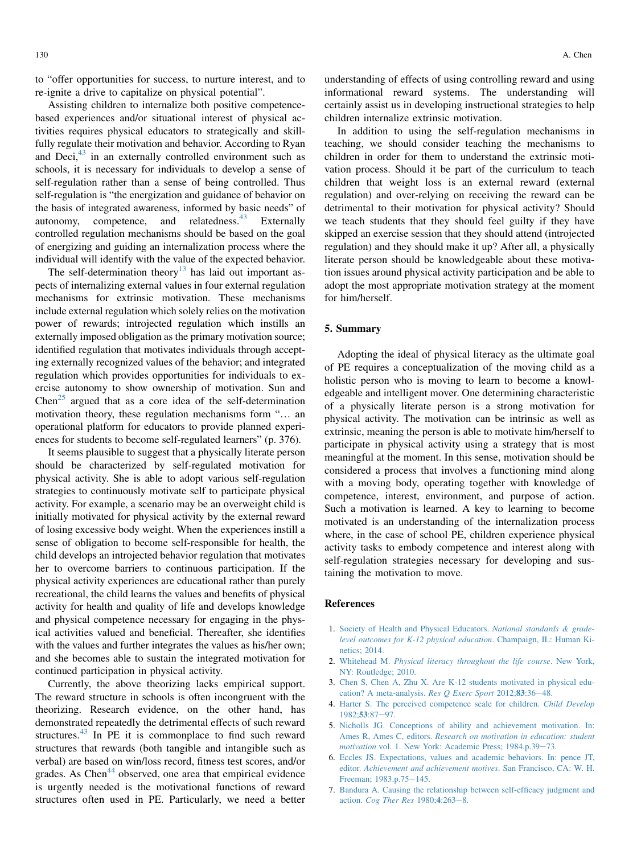<span id="page-6-0"></span>to "offer opportunities for success, to nurture interest, and to re-ignite a drive to capitalize on physical potential".

Assisting children to internalize both positive competencebased experiences and/or situational interest of physical activities requires physical educators to strategically and skillfully regulate their motivation and behavior. According to Ryan and Deci, $43$  in an externally controlled environment such as schools, it is necessary for individuals to develop a sense of self-regulation rather than a sense of being controlled. Thus self-regulation is "the energization and guidance of behavior on the basis of integrated awareness, informed by basic needs" of autonomy, competence, and relatedness. $43$  Externally controlled regulation mechanisms should be based on the goal of energizing and guiding an internalization process where the individual will identify with the value of the expected behavior.

The self-determination theory<sup>13</sup> has laid out important aspects of internalizing external values in four external regulation mechanisms for extrinsic motivation. These mechanisms include external regulation which solely relies on the motivation power of rewards; introjected regulation which instills an externally imposed obligation as the primary motivation source; identified regulation that motivates individuals through accepting externally recognized values of the behavior; and integrated regulation which provides opportunities for individuals to exercise autonomy to show ownership of motivation. Sun and Chen<sup>[25](#page-7-0)</sup> argued that as a core idea of the self-determination motivation theory, these regulation mechanisms form "... an operational platform for educators to provide planned experiences for students to become self-regulated learners" (p. 376).

It seems plausible to suggest that a physically literate person should be characterized by self-regulated motivation for physical activity. She is able to adopt various self-regulation strategies to continuously motivate self to participate physical activity. For example, a scenario may be an overweight child is initially motivated for physical activity by the external reward of losing excessive body weight. When the experiences instill a sense of obligation to become self-responsible for health, the child develops an introjected behavior regulation that motivates her to overcome barriers to continuous participation. If the physical activity experiences are educational rather than purely recreational, the child learns the values and benefits of physical activity for health and quality of life and develops knowledge and physical competence necessary for engaging in the physical activities valued and beneficial. Thereafter, she identifies with the values and further integrates the values as his/her own; and she becomes able to sustain the integrated motivation for continued participation in physical activity.

Currently, the above theorizing lacks empirical support. The reward structure in schools is often incongruent with the theorizing. Research evidence, on the other hand, has demonstrated repeatedly the detrimental effects of such reward structures. $43$  In PE it is commonplace to find such reward structures that rewards (both tangible and intangible such as verbal) are based on win/loss record, fitness test scores, and/or grades. As Chen<sup> $44$ </sup> observed, one area that empirical evidence is urgently needed is the motivational functions of reward structures often used in PE. Particularly, we need a better

understanding of effects of using controlling reward and using informational reward systems. The understanding will certainly assist us in developing instructional strategies to help children internalize extrinsic motivation.

In addition to using the self-regulation mechanisms in teaching, we should consider teaching the mechanisms to children in order for them to understand the extrinsic motivation process. Should it be part of the curriculum to teach children that weight loss is an external reward (external regulation) and over-relying on receiving the reward can be detrimental to their motivation for physical activity? Should we teach students that they should feel guilty if they have skipped an exercise session that they should attend (introjected regulation) and they should make it up? After all, a physically literate person should be knowledgeable about these motivation issues around physical activity participation and be able to adopt the most appropriate motivation strategy at the moment for him/herself.

#### 5. Summary

Adopting the ideal of physical literacy as the ultimate goal of PE requires a conceptualization of the moving child as a holistic person who is moving to learn to become a knowledgeable and intelligent mover. One determining characteristic of a physically literate person is a strong motivation for physical activity. The motivation can be intrinsic as well as extrinsic, meaning the person is able to motivate him/herself to participate in physical activity using a strategy that is most meaningful at the moment. In this sense, motivation should be considered a process that involves a functioning mind along with a moving body, operating together with knowledge of competence, interest, environment, and purpose of action. Such a motivation is learned. A key to learning to become motivated is an understanding of the internalization process where, in the case of school PE, children experience physical activity tasks to embody competence and interest along with self-regulation strategies necessary for developing and sustaining the motivation to move.

### References

- 1. [Society of Health and Physical Educators.](http://refhub.elsevier.com/S2095-2546(15)00032-0/sref1) National standards & grade[level outcomes for K-12 physical education](http://refhub.elsevier.com/S2095-2546(15)00032-0/sref1). Champaign, IL: Human Ki[netics; 2014.](http://refhub.elsevier.com/S2095-2546(15)00032-0/sref1)
- 2. Whitehead M. [Physical literacy throughout the life course](http://refhub.elsevier.com/S2095-2546(15)00032-0/sref2). New York, [NY: Routledge; 2010.](http://refhub.elsevier.com/S2095-2546(15)00032-0/sref2)
- 3. [Chen S, Chen A, Zhu X. Are K-12 students motivated in physical edu](http://refhub.elsevier.com/S2095-2546(15)00032-0/sref3)[cation? A meta-analysis.](http://refhub.elsevier.com/S2095-2546(15)00032-0/sref3) Res  $Q$  Exerc Sport 2012;83:36-[48.](http://refhub.elsevier.com/S2095-2546(15)00032-0/sref3)
- 4. [Harter S. The perceived competence scale for children.](http://refhub.elsevier.com/S2095-2546(15)00032-0/sref4) Child Develop [1982;](http://refhub.elsevier.com/S2095-2546(15)00032-0/sref4)53:87-[97.](http://refhub.elsevier.com/S2095-2546(15)00032-0/sref4)
- 5. [Nicholls JG. Conceptions of ability and achievement motivation. In:](http://refhub.elsevier.com/S2095-2546(15)00032-0/sref5) Ames R, Ames C, editors. [Research on motivation in education: student](http://refhub.elsevier.com/S2095-2546(15)00032-0/sref5) motivation [vol. 1. New York: Academic Press; 1984.p.39](http://refhub.elsevier.com/S2095-2546(15)00032-0/sref5)-[73.](http://refhub.elsevier.com/S2095-2546(15)00032-0/sref5)
- 6. [Eccles JS. Expectations, values and academic behaviors. In: pence JT,](http://refhub.elsevier.com/S2095-2546(15)00032-0/sref6) editor. [Achievement and achievement motives](http://refhub.elsevier.com/S2095-2546(15)00032-0/sref6). San Francisco, CA: W. H. [Freeman; 1983.p.75](http://refhub.elsevier.com/S2095-2546(15)00032-0/sref6)-[145.](http://refhub.elsevier.com/S2095-2546(15)00032-0/sref6)
- 7. [Bandura A. Causing the relationship between self-efficacy judgment and](http://refhub.elsevier.com/S2095-2546(15)00032-0/sref7) action. [Cog Ther Res](http://refhub.elsevier.com/S2095-2546(15)00032-0/sref7) 1980;4:263-[8.](http://refhub.elsevier.com/S2095-2546(15)00032-0/sref7)